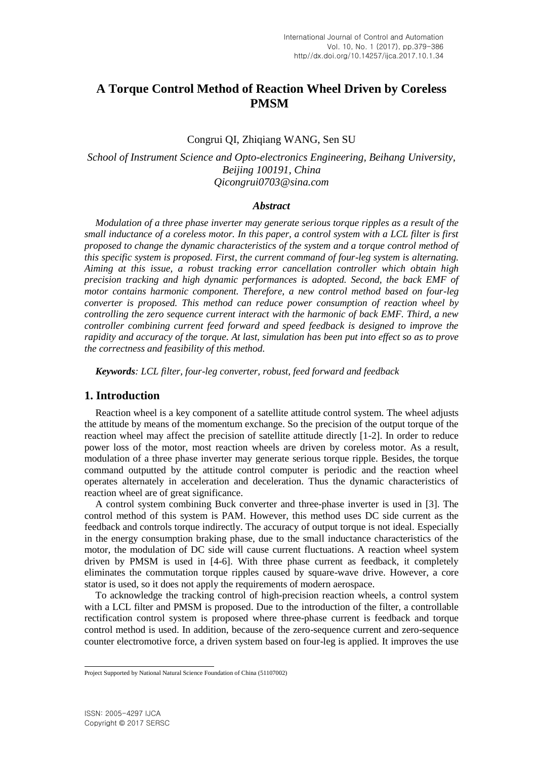# **A Torque Control Method of Reaction Wheel Driven by Coreless PMSM<sup>1</sup>**

# Congrui QI, Zhiqiang WANG, Sen SU

*School of Instrument Science and Opto-electronics Engineering, Beihang University, Beijing 100191, China [Qicongrui0703@sina.com](mailto:Qicongrui0703@sina.com)*

### *Abstract*

*Modulation of a three phase inverter may [generate](javascript:void(0);) serious torque ripples as a result of the small inductance of a coreless motor. In this paper, a control system with a LCL filter is first proposed to change the dynamic characteristics of the system and a torque control method of this specific system is proposed. First, the current command of four-leg system is alternating. Aiming at this issue, a robust tracking error cancellation controller which obtain high precision tracking and high dynamic performances is adopted. Second, the back EMF of motor contains harmonic component. Therefore, a new control method based on four-leg converter is proposed. This method can reduce power consumption of reaction wheel by controlling the zero sequence current interact with the harmonic of back EMF. Third, a new controller combining current feed forward and speed feedback is designed to improve the rapidity and accuracy of the torque. At last, simulation has been put into effect so as to prove the correctness and feasibility of this method.*

*Keywords: LCL filter, four-leg converter, robust, feed forward and feedback*

# **1. Introduction**

Reaction wheel is a key component of a satellite attitude control system. The wheel adjusts the attitude by means of the momentum exchange. So the precision of the output torque of the reaction wheel may affect the precision of satellite attitude directly [1-2]. In order to reduce power loss of the motor, most reaction wheels are driven by coreless motor. As a result, modulation of a three phase inverter may [generate](javascript:void(0);) serious torque ripple. Besides, the torque command outputted by the attitude control computer is periodic and the reaction wheel operates alternately in acceleration and deceleration. Thus the dynamic characteristics of reaction wheel are of great significance.

A control system combining Buck converter and three-phase inverter is used in [3]. The control method of this system is PAM. However, this method uses DC side current as the feedback and controls torque indirectly. The accuracy of output torque is not ideal. Especially in the energy consumption braking phase, due to the small inductance characteristics of the motor, the modulation of DC side will cause current fluctuations. A reaction wheel system driven by PMSM is used in [4-6]. With three phase current as feedback, it completely eliminates the commutation torque ripples caused by square-wave drive. However, a core stator is used, so it does not apply the requirements of modern aerospace.

To acknowledge the tracking control of high-precision reaction wheels, a control system with a LCL filter and PMSM is proposed. Due to the introduction of the filter, a controllable rectification control system is proposed where three-phase current is feedback and torque control method is used. In addition, because of the zero-sequence current and zero-sequence counter electromotive force, a driven system based on four-leg is applied. It improves the use

 Project Supported by National Natural Science Foundation of China (51107002)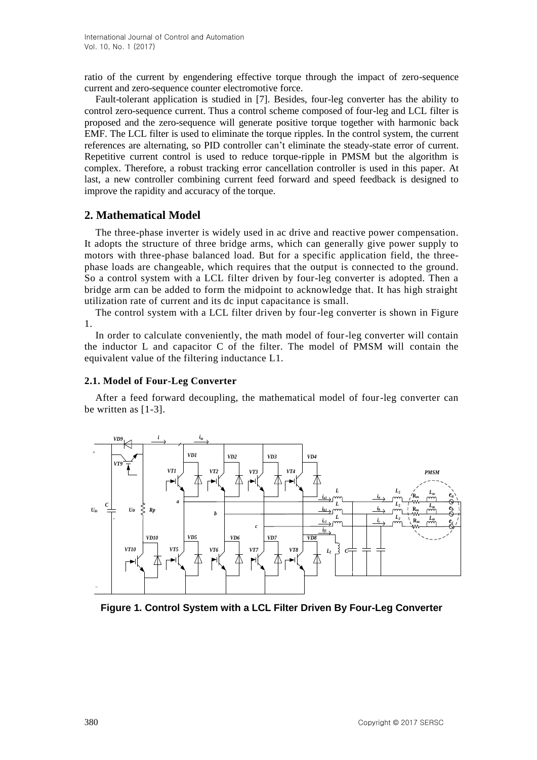ratio of the current by engendering effective torque through the impact of zero-sequence current and zero-sequence counter electromotive force.

Fault-tolerant application is studied in [7]. Besides, four-leg converter has the ability to control zero-sequence current. Thus a control scheme composed of four-leg and LCL filter is proposed and the zero-sequence will generate positive torque together with harmonic back EMF. The LCL filter is used to eliminate the torque ripples. In the control system, the current references are alternating, so PID controller can't eliminate the steady-state error of current. Repetitive current control is used to reduce torque-ripple in PMSM but the algorithm is complex. Therefore, a robust tracking error cancellation controller is used in this paper. At last, a new controller combining current feed forward and speed feedback is designed to improve the rapidity and accuracy of the torque.

# **2. Mathematical Model**

The three-phase inverter is widely used in ac drive and reactive power compensation. It adopts the structure of three bridge arms, which can generally give power supply to motors with three-phase balanced load. But for a specific application field, the threephase loads are changeable, which requires that the output is connected to the ground. So a control system with a LCL filter driven by four-leg converter is adopted. Then a bridge arm can be added to form the midpoint to acknowledge that. It has high straight utilization rate of current and its dc input capacitance is small.

The control system with a LCL filter driven by four-leg converter is shown in Figure 1.

In order to calculate conveniently, the math model of four-leg converter will contain the inductor L and capacitor C of the filter. The model of PMSM will contain the equivalent value of the filtering inductance L1.

## **2.1. Model of Four-Leg Converter**

After a feed forward decoupling, the mathematical model of four-leg converter can be written as [1-3].



**Figure 1. Control System with a LCL Filter Driven By Four-Leg Converter**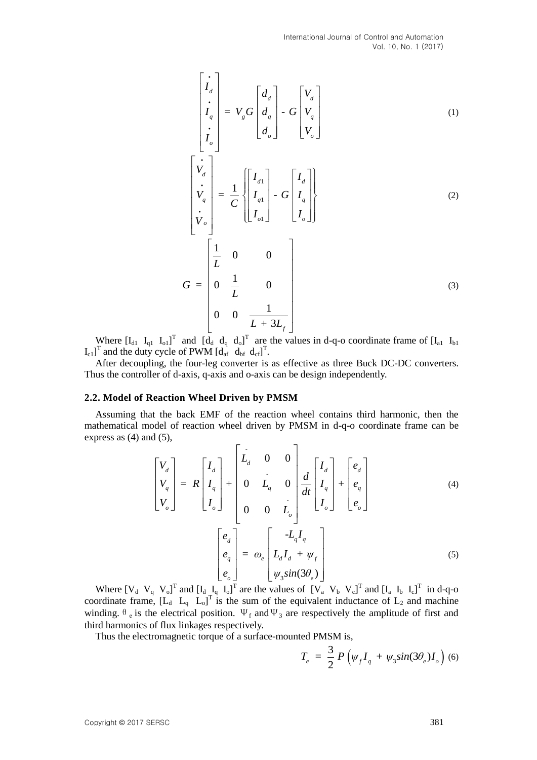International Journal of Control and Automation Vol. 10, No. 1 (2017)

$$
\begin{bmatrix}\ni_1 \\
i_2 \\
\vdots \\
i_q\n\end{bmatrix} = V_g G \begin{bmatrix} d_d \\
d_q \\
d_q\n\end{bmatrix} - G \begin{bmatrix} V_d \\
V_q \\
V_o \end{bmatrix}
$$
\n(1)\n
$$
\begin{bmatrix}\n\dot{V}_d \\
\dot{V}_d \\
\dot{V}_q \\
\vdots \\
\dot{V}_o\n\end{bmatrix} = \frac{1}{C} \begin{bmatrix} I_{d1} \\ I_{q1} \\ I_{o1} \end{bmatrix} - G \begin{bmatrix} I_d \\ I_q \\ I_o \end{bmatrix}
$$
\n(2)\n
$$
G = \begin{bmatrix} \frac{1}{L} & 0 & 0 \\ 0 & \frac{1}{L} & 0 \\ 0 & 0 & \frac{1}{L + 3L_f} \end{bmatrix}
$$
\n(3)

Where  $[I_{d1} \ I_{q1} \ I_{q1}]^T$  and  $[d_d \ d_q \ d_0]^T$  are the values in d-q-o coordinate frame of  $[I_{a1} \ I_{b1}]$  $\begin{bmatrix} I_{c1} \end{bmatrix}^T$  and the duty cycle of PWM  $\begin{bmatrix} d_{af} & d_{bf} \end{bmatrix}^T$ .

After decoupling, the four-leg converter is as effective as three Buck DC-DC converters. Thus the controller of d-axis, q-axis and o-axis can be design independently.

#### **2.2. Model of Reaction Wheel Driven by PMSM**

Assuming that the back EMF of the reaction wheel contains third harmonic, then the mathematical model of reaction wheel driven by PMSM in d-q-o coordinate frame can be<br>express as (4) and (5),<br> $\begin{bmatrix} 1 & 0 & 0 \end{bmatrix}$ express as (4) and (5),

1 (5),  
\n
$$
\begin{bmatrix}\nV_d \\
V_q \\
V_o\n\end{bmatrix} = R \begin{bmatrix}\nI_d \\
I_q \\
I_o\n\end{bmatrix} + \begin{bmatrix}\nL_d & 0 & 0 \\
0 & L_q & 0 \\
0 & 0 & L_o\n\end{bmatrix} \frac{d}{dt} \begin{bmatrix}\nI_d \\
I_q \\
I_o\n\end{bmatrix} + \begin{bmatrix}\ne_d \\
e_q \\
e_o\n\end{bmatrix}
$$
\n(4)  
\n
$$
\begin{bmatrix}\ne_d \\
e_q \\
e_q\n\end{bmatrix} = \omega_e \begin{bmatrix}\n-L_q I_q \\
L_d I_d + \psi_f \\
\psi_3 sin(3\theta_e)\n\end{bmatrix}
$$
\n(5)

Where  $[V_d \ V_q \ V_o]^T$  and  $[I_d \ I_q \ I_o]^T$  are the values of  $[V_a \ V_b \ V_c]^T$  and  $[I_a \ I_b \ I_c]^T$  in d-q-o coordinate frame,  $[L_d \ L_q \ L_o]^T$  is the sum of the equivalent inductance of  $L_2$  and machine winding.  $\theta_e$  is the electrical position.  $\Psi_f$  and  $\Psi_3$  are respectively the amplitude of first and third harmonics of flux linkages respectively.

Thus the electromagnetic torque of a surface-mounted PMSM is,

$$
T_e = \frac{3}{2} P \left( \psi_f I_q + \psi_3 \sin(3\theta_e) I_o \right)
$$
 (6)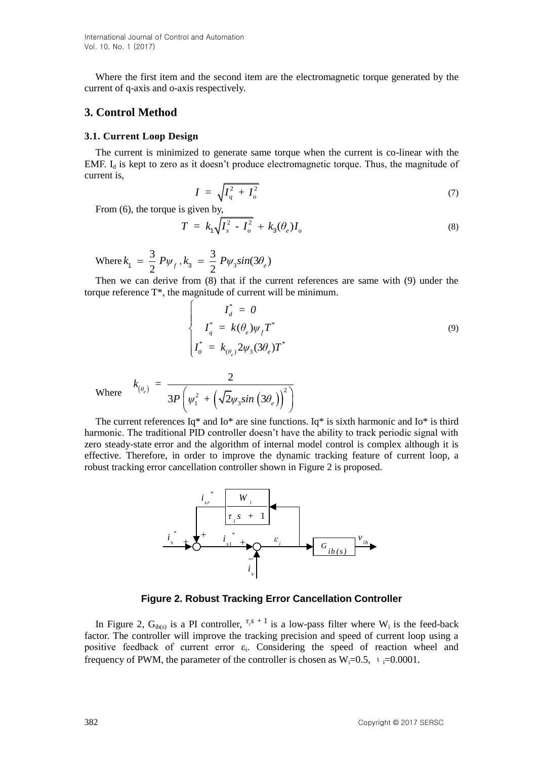Where the first item and the second item are the electromagnetic torque generated by the current of q-axis and o-axis respectively.

# **3. Control Method**

### **3.1. Current Loop Design**

The current is minimized to generate same torque when the current is co-linear with the EMF.  $I_d$  is kept to zero as it doesn't produce electromagnetic torque. Thus, the magnitude of current is,

$$
I = \sqrt{I_q^2 + I_o^2} \tag{7}
$$

From (6), the torque is given by,

$$
T = k_1 \sqrt{I_s^2 - I_o^2} + k_3(\theta_e)I_o
$$
\n(8)

Where  $k_1 = \frac{3}{5}$  $k_1 = \frac{3}{2} P \psi_f$ ,  $k_3 = \frac{3}{2} P \psi_3$  $\frac{3}{2} P \psi_3 sin(3\theta_e)$  $k_3 = \frac{3}{2} P \psi_3 sin(3\theta_e)$ 

 $\sqrt{ }$ 

Then we can derive from (8) that if the current references are same with (9) under the torque reference T\*, the magnitude of current will be minimum.

$$
\begin{cases}\nI_d^* = 0 \\
I_q^* = k(\theta_e)\psi_f T^* \\
I_o^* = k_{(\theta_e)} 2\psi_3 (3\theta_e) T^*\n\end{cases}
$$
\n(9)

Where  $(\theta_e)$  $(\sqrt{2}\psi_3 \sin (\sqrt{3}\theta_e))$  $L^2_1 + \left(\sqrt{2}\psi_3 sin\left(3\theta_e\right)\right)^2$  $\frac{2}{3P\left(\mathbf{\boldsymbol{\psi}}_{1}^{2}+\left(\sqrt{2}\mathbf{\boldsymbol{\psi}}_{3}sin\left(3\theta_{e}\right)\right)^{2}\right)}$ *e θ e*  $k_{(\theta_e)} =$  $P \mid \psi_1^2 + (\sqrt{2\psi_3} \sin(3\theta$ 

The current references  $Iq^*$  and  $Io^*$  are sine functions.  $Iq^*$  is sixth harmonic and  $Io^*$  is third harmonic. The traditional PID controller doesn't have the ability to track periodic signal with zero steady-state error and the algorithm of internal model control is complex although it is effective. Therefore, in order to improve the dynamic tracking feature of current loop, a robust tracking error cancellation controller shown in Figure 2 is proposed.



**Figure 2. Robust Tracking Error Cancellation Controller**

In Figure 2,  $G_{ib(s)}$  is a PI controller,  $\tau_i s + 1$  is a low-pass filter where W<sub>i</sub> is the feed-back factor. The controller will improve the tracking precision and speed of current loop using a positive feedback of current error  $\varepsilon_i$ . Considering the speed of reaction wheel and frequency of PWM, the parameter of the controller is chosen as  $W_i=0.5$ ,  $V_i=0.0001$ .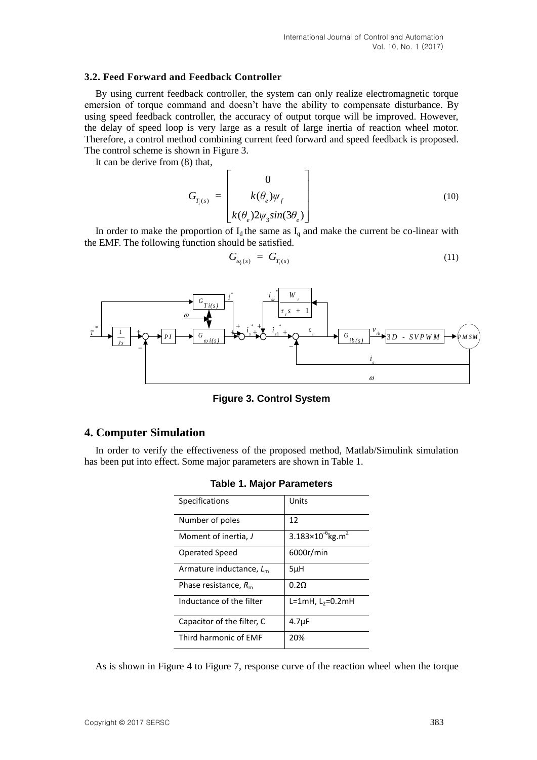### **3.2. Feed Forward and Feedback Controller**

By using current feedback controller, the system can only realize electromagnetic torque emersion of torque command and doesn't have the ability to compensate disturbance. By using speed feedback controller, the accuracy of output torque will be improved. However, the delay of speed loop is very large as a result of large inertia of reaction wheel motor. Therefore, a control method combining current feed forward and speed feedback is proposed. The control scheme is shown in Figure 3.

It can be derive from (8) that,

$$
G_{T_i(s)} = \begin{bmatrix} 0 \\ k(\theta_e)\psi_f \\ k(\theta_e)2\psi_3 \sin(3\theta_e) \end{bmatrix}
$$
 (10)

In order to make the proportion of  $I_d$  the same as  $I_q$  and make the current be co-linear with the EMF. The following function should be satisfied.

$$
G_{\varpi_i(s)} = G_{T_i(s)} \tag{11}
$$



**Figure 3. Control System**

# **4. Computer Simulation**

In order to verify the effectiveness of the proposed method, Matlab/Simulink simulation has been put into effect. Some major parameters are shown in Table 1.

| Specifications                | Units                                    |
|-------------------------------|------------------------------------------|
| Number of poles               | 12                                       |
| Moment of inertia, J          | 3.183×10 <sup>-6</sup> kg.m <sup>2</sup> |
| Operated Speed                | 6000r/min                                |
| Armature inductance, $L_m$    | $5\mu$ H                                 |
| Phase resistance, $R_{\rm m}$ | 0.20                                     |
| Inductance of the filter      | $L=1mH, L2=0.2mH$                        |
| Capacitor of the filter, C    | 4.7 <sub>µ</sub> F                       |
| Third harmonic of EMF         | 20%                                      |

**Table 1. Major Parameters**

As is shown in Figure 4 to Figure 7, response curve of the reaction wheel when the torque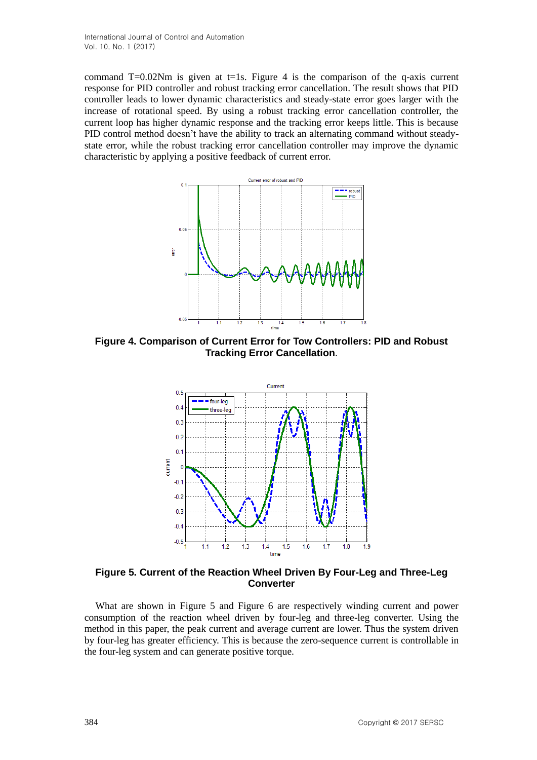command  $T=0.02$ Nm is given at t=1s. Figure 4 is the comparison of the q-axis current response for PID controller and robust tracking error cancellation. The result shows that PID controller leads to lower dynamic characteristics and steady-state error goes larger with the increase of rotational speed. By using a robust tracking error cancellation controller, the current loop has higher dynamic response and the tracking error keeps little. This is because PID control method doesn't have the ability to track an alternating command without steadystate error, while the robust tracking error cancellation controller may improve the dynamic characteristic by applying a positive feedback of current error.



**Figure 4. Comparison of Current Error for Tow Controllers: PID and Robust Tracking Error Cancellation**.



**Figure 5. Current of the Reaction Wheel Driven By Four-Leg and Three-Leg Converter**

What are shown in Figure 5 and Figure 6 are respectively winding current and power consumption of the reaction wheel driven by four-leg and three-leg converter. Using the method in this paper, the peak current and average current are lower. Thus the system driven by four-leg has greater efficiency. This is because the zero-sequence current is controllable in the four-leg system and can generate positive torque.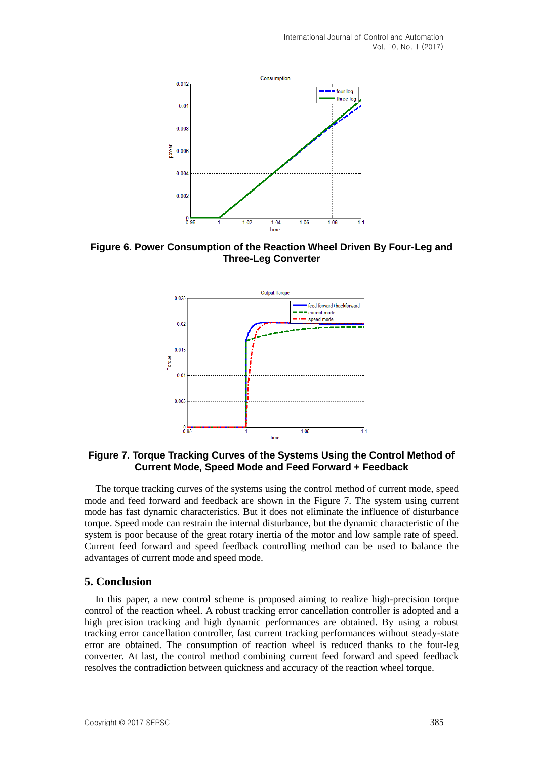

**Figure 6. Power Consumption of the Reaction Wheel Driven By Four-Leg and Three-Leg Converter**



**Figure 7. Torque Tracking Curves of the Systems Using the Control Method of Current Mode, Speed Mode and Feed Forward + Feedback**

The torque tracking curves of the systems using the control method of current mode, speed mode and feed forward and feedback are shown in the Figure 7. The system using current mode has fast dynamic characteristics. But it does not eliminate the influence of disturbance torque. Speed mode can restrain the internal disturbance, but the dynamic characteristic of the system is poor because of the great rotary inertia of the motor and low sample rate of speed. Current feed forward and speed feedback controlling method can be used to balance the advantages of current mode and speed mode.

## **5. Conclusion**

In this paper, a new control scheme is proposed aiming to realize high-precision torque control of the reaction wheel. A robust tracking error cancellation controller is adopted and a high precision tracking and high dynamic performances are obtained. By using a robust tracking error cancellation controller, fast current tracking performances without steady-state error are obtained. The consumption of reaction wheel is reduced thanks to the four-leg converter. At last, the control method combining current feed forward and speed feedback resolves the contradiction between quickness and accuracy of the reaction wheel torque.